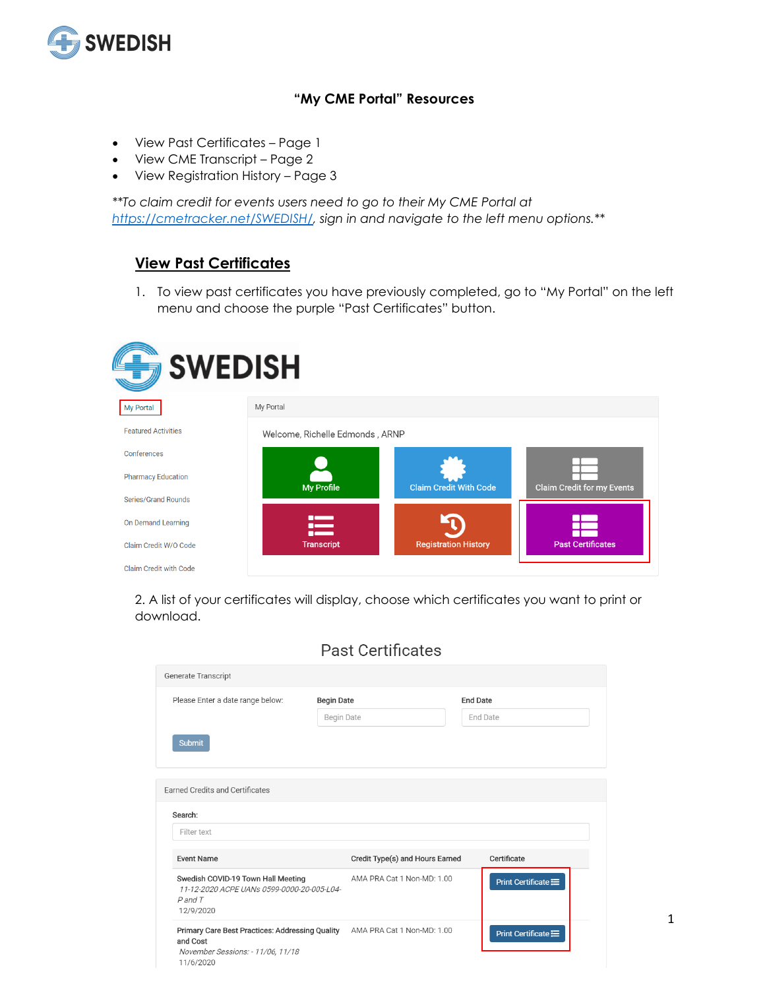

#### **"My CME Portal" Resources**

- View Past Certificates Page 1
- View CME Transcript Page 2
- View Registration History Page 3

*\*\*To claim credit for events users need to go to their My CME Portal at [https://cmetracker.net/SWEDISH/,](https://cmetracker.net/SWEDISH/) sign in and navigate to the left menu options.\*\**

## **View Past Certificates**

1. To view past certificates you have previously completed, go to "My Portal" on the left menu and choose the purple "Past Certificates" button.

| <b>SWEDISH</b>             |                                 |                               |                            |  |  |  |  |
|----------------------------|---------------------------------|-------------------------------|----------------------------|--|--|--|--|
| <b>My Portal</b>           | My Portal                       |                               |                            |  |  |  |  |
| <b>Featured Activities</b> | Welcome, Richelle Edmonds, ARNP |                               |                            |  |  |  |  |
| Conferences                |                                 |                               |                            |  |  |  |  |
| <b>Pharmacy Education</b>  | <b>My Profile</b>               | <b>Claim Credit With Code</b> | Claim Credit for my Events |  |  |  |  |
| <b>Series/Grand Rounds</b> |                                 |                               |                            |  |  |  |  |
| On Demand Learning         | ≔<br><b>DESCRIPTION</b>         |                               |                            |  |  |  |  |
| Claim Credit W/O Code      | <b>Transcript</b>               | <b>Registration History</b>   | <b>Past Certificates</b>   |  |  |  |  |
| Claim Credit with Code     |                                 |                               |                            |  |  |  |  |

2. A list of your certificates will display, choose which certificates you want to print or download.

| Generate Transcript                                                                                           |                   |                                 |                 |                      |
|---------------------------------------------------------------------------------------------------------------|-------------------|---------------------------------|-----------------|----------------------|
| Please Enter a date range below:                                                                              | <b>Begin Date</b> |                                 | <b>End Date</b> |                      |
|                                                                                                               | <b>Begin Date</b> |                                 |                 | End Date             |
| <b>Submit</b>                                                                                                 |                   |                                 |                 |                      |
| <b>Earned Credits and Certificates</b>                                                                        |                   |                                 |                 |                      |
| Search:                                                                                                       |                   |                                 |                 |                      |
| Filter text                                                                                                   |                   |                                 |                 |                      |
| <b>Event Name</b>                                                                                             |                   | Credit Type(s) and Hours Earned |                 | Certificate          |
| Swedish COVID-19 Town Hall Meeting<br>11-12-2020 ACPE UANs 0599-0000-20-005-L04-<br>$P$ and $T$<br>12/9/2020  |                   | AMA PRA Cat 1 Non-MD: 1.00      |                 | Print Certificate := |
| Primary Care Best Practices: Addressing Quality<br>and Cost<br>November Sessions: - 11/06, 11/18<br>11/6/2020 |                   | AMA PRA Cat 1 Non-MD: 1.00      |                 | Print Certificate := |

1

### **Past Certificates**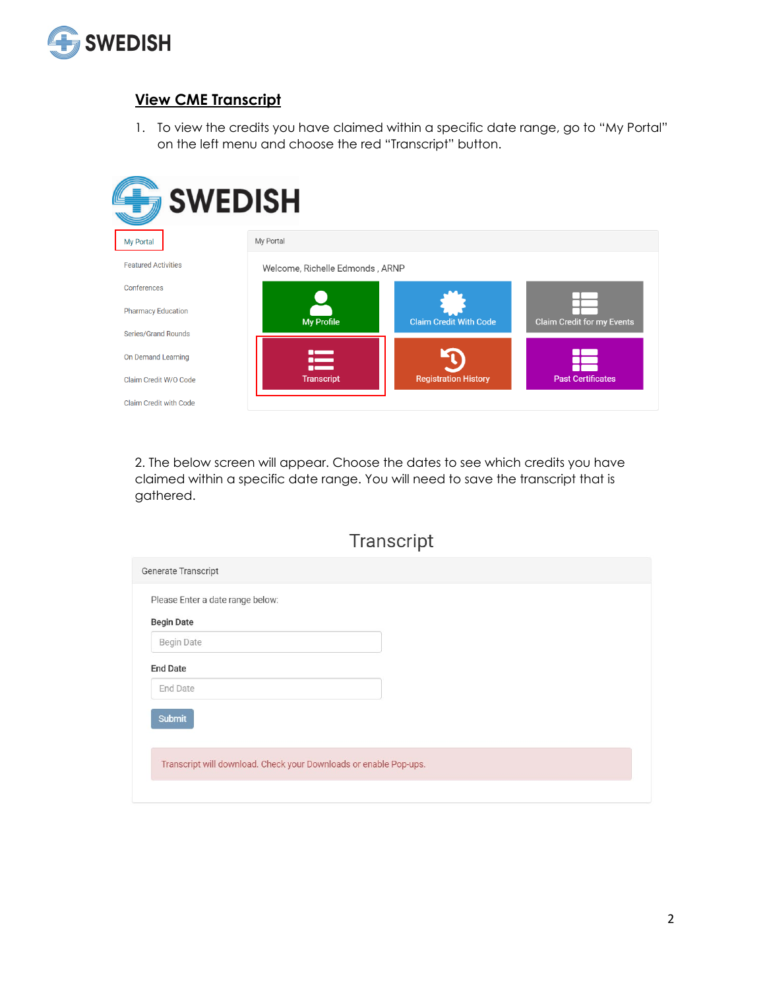

### **View CME Transcript**

1. To view the credits you have claimed within a specific date range, go to "My Portal" on the left menu and choose the red "Transcript" button.



2. The below screen will appear. Choose the dates to see which credits you have claimed within a specific date range. You will need to save the transcript that is gathered.

|  |  | Transcript |
|--|--|------------|

| Generate Transcript                                               |  |
|-------------------------------------------------------------------|--|
| Please Enter a date range below:                                  |  |
| <b>Begin Date</b>                                                 |  |
| <b>Begin Date</b>                                                 |  |
| <b>End Date</b>                                                   |  |
| <b>End Date</b>                                                   |  |
| Submit                                                            |  |
| Transcript will download. Check your Downloads or enable Pop-ups. |  |
|                                                                   |  |